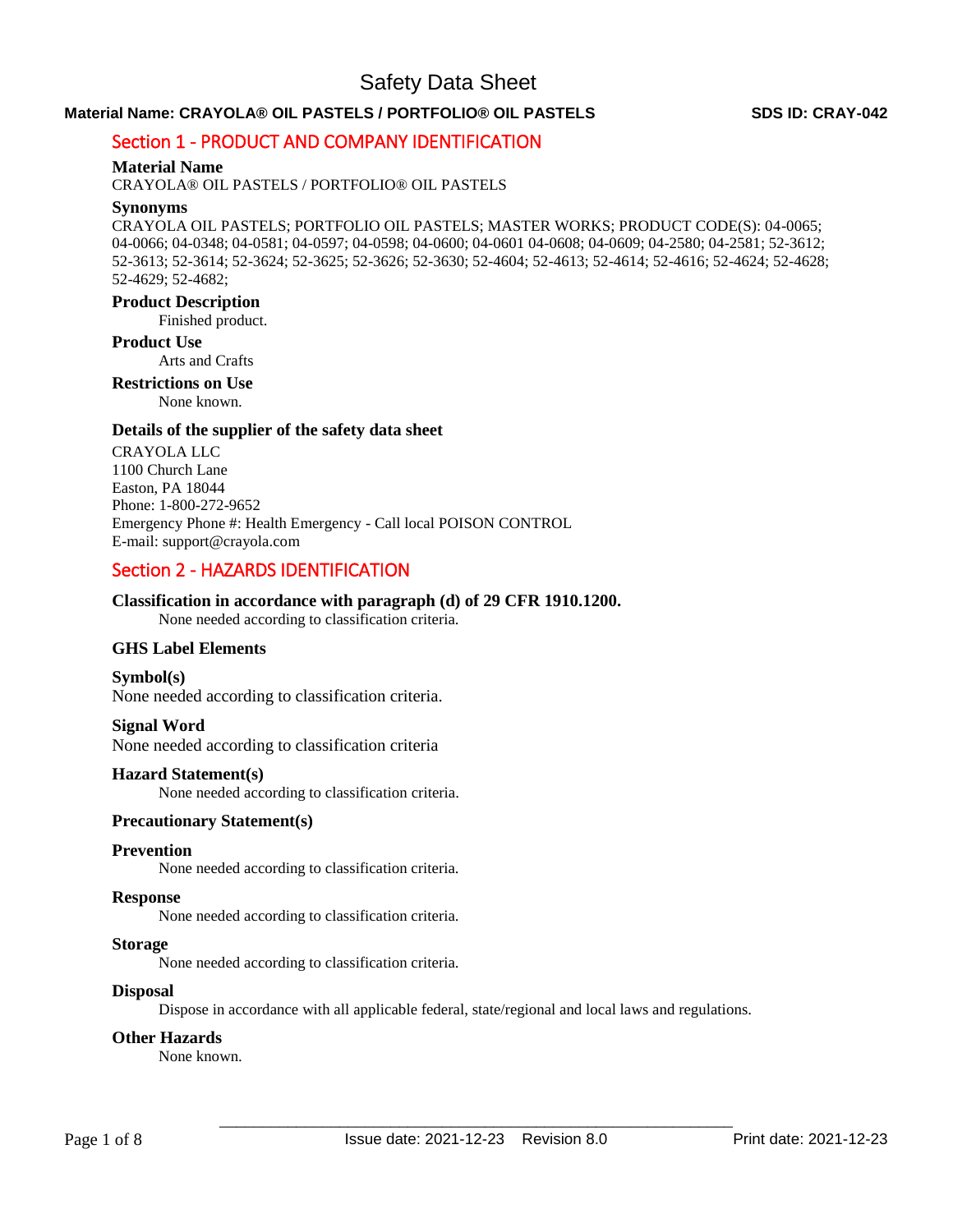## **Material Name: CRAYOLA® OIL PASTELS / PORTFOLIO® OIL PASTELS SDS ID: CRAY-042**

# Section 1 - PRODUCT AND COMPANY IDENTIFICATION

#### **Material Name**

CRAYOLA® OIL PASTELS / PORTFOLIO® OIL PASTELS

#### **Synonyms**

CRAYOLA OIL PASTELS; PORTFOLIO OIL PASTELS; MASTER WORKS; PRODUCT CODE(S): 04-0065; 04-0066; 04-0348; 04-0581; 04-0597; 04-0598; 04-0600; 04-0601 04-0608; 04-0609; 04-2580; 04-2581; 52-3612; 52-3613; 52-3614; 52-3624; 52-3625; 52-3626; 52-3630; 52-4604; 52-4613; 52-4614; 52-4616; 52-4624; 52-4628; 52-4629; 52-4682;

#### **Product Description**

Finished product.

#### **Product Use**

Arts and Crafts

#### **Restrictions on Use**

None known.

#### **Details of the supplier of the safety data sheet**

CRAYOLA LLC 1100 Church Lane Easton, PA 18044 Phone: 1-800-272-9652 Emergency Phone #: Health Emergency - Call local POISON CONTROL E-mail: support@crayola.com

# Section 2 - HAZARDS IDENTIFICATION

#### **Classification in accordance with paragraph (d) of 29 CFR 1910.1200.**

None needed according to classification criteria.

#### **GHS Label Elements**

**Symbol(s)**  None needed according to classification criteria.

#### **Signal Word**

None needed according to classification criteria

#### **Hazard Statement(s)**

None needed according to classification criteria.

### **Precautionary Statement(s)**

#### **Prevention**

None needed according to classification criteria.

#### **Response**

None needed according to classification criteria.

#### **Storage**

None needed according to classification criteria.

#### **Disposal**

Dispose in accordance with all applicable federal, state/regional and local laws and regulations.

#### **Other Hazards**

None known.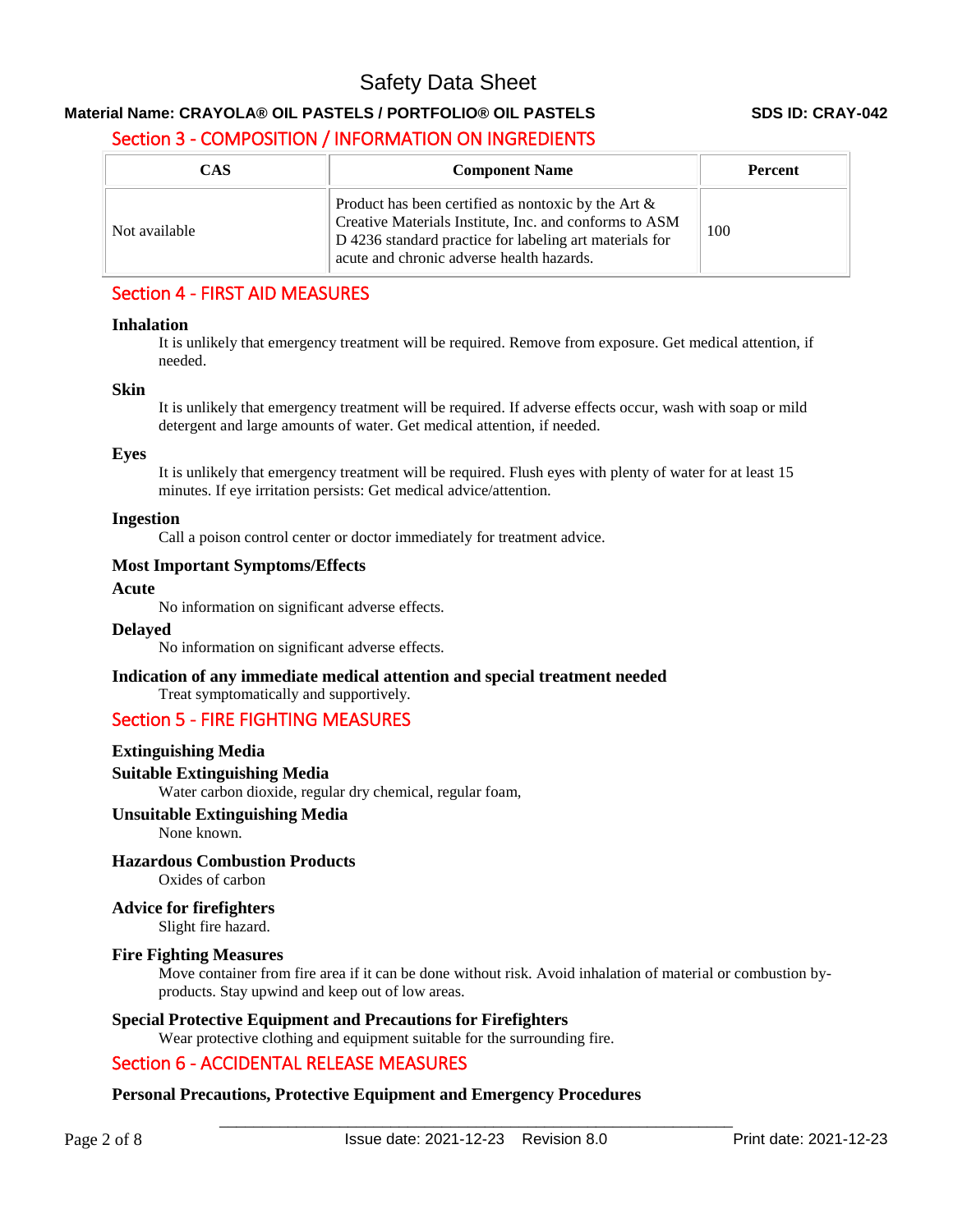# **Material Name: CRAYOLA® OIL PASTELS / PORTFOLIO® OIL PASTELS SDS ID: CRAY-042**

# Section 3 - COMPOSITION / INFORMATION ON INGREDIENTS

| <b>CAS</b>    | <b>Component Name</b>                                                                                                                                                                                                    | <b>Percent</b> |
|---------------|--------------------------------------------------------------------------------------------------------------------------------------------------------------------------------------------------------------------------|----------------|
| Not available | Product has been certified as nontoxic by the Art $\&$<br>Creative Materials Institute, Inc. and conforms to ASM<br>D 4236 standard practice for labeling art materials for<br>acute and chronic adverse health hazards. | 100            |

# Section 4 - FIRST AID MEASURES

#### **Inhalation**

It is unlikely that emergency treatment will be required. Remove from exposure. Get medical attention, if needed.

#### **Skin**

It is unlikely that emergency treatment will be required. If adverse effects occur, wash with soap or mild detergent and large amounts of water. Get medical attention, if needed.

#### **Eyes**

It is unlikely that emergency treatment will be required. Flush eyes with plenty of water for at least 15 minutes. If eye irritation persists: Get medical advice/attention.

#### **Ingestion**

Call a poison control center or doctor immediately for treatment advice.

#### **Most Important Symptoms/Effects**

#### **Acute**

No information on significant adverse effects.

#### **Delayed**

No information on significant adverse effects.

# **Indication of any immediate medical attention and special treatment needed**

Treat symptomatically and supportively.

# Section 5 - FIRE FIGHTING MEASURES

## **Extinguishing Media**

## **Suitable Extinguishing Media**

Water carbon dioxide, regular dry chemical, regular foam,

#### **Unsuitable Extinguishing Media**

None known.

## **Hazardous Combustion Products**

Oxides of carbon

# **Advice for firefighters**

Slight fire hazard.

#### **Fire Fighting Measures**

Move container from fire area if it can be done without risk. Avoid inhalation of material or combustion byproducts. Stay upwind and keep out of low areas.

## **Special Protective Equipment and Precautions for Firefighters**

Wear protective clothing and equipment suitable for the surrounding fire.

# Section 6 - ACCIDENTAL RELEASE MEASURES

## **Personal Precautions, Protective Equipment and Emergency Procedures**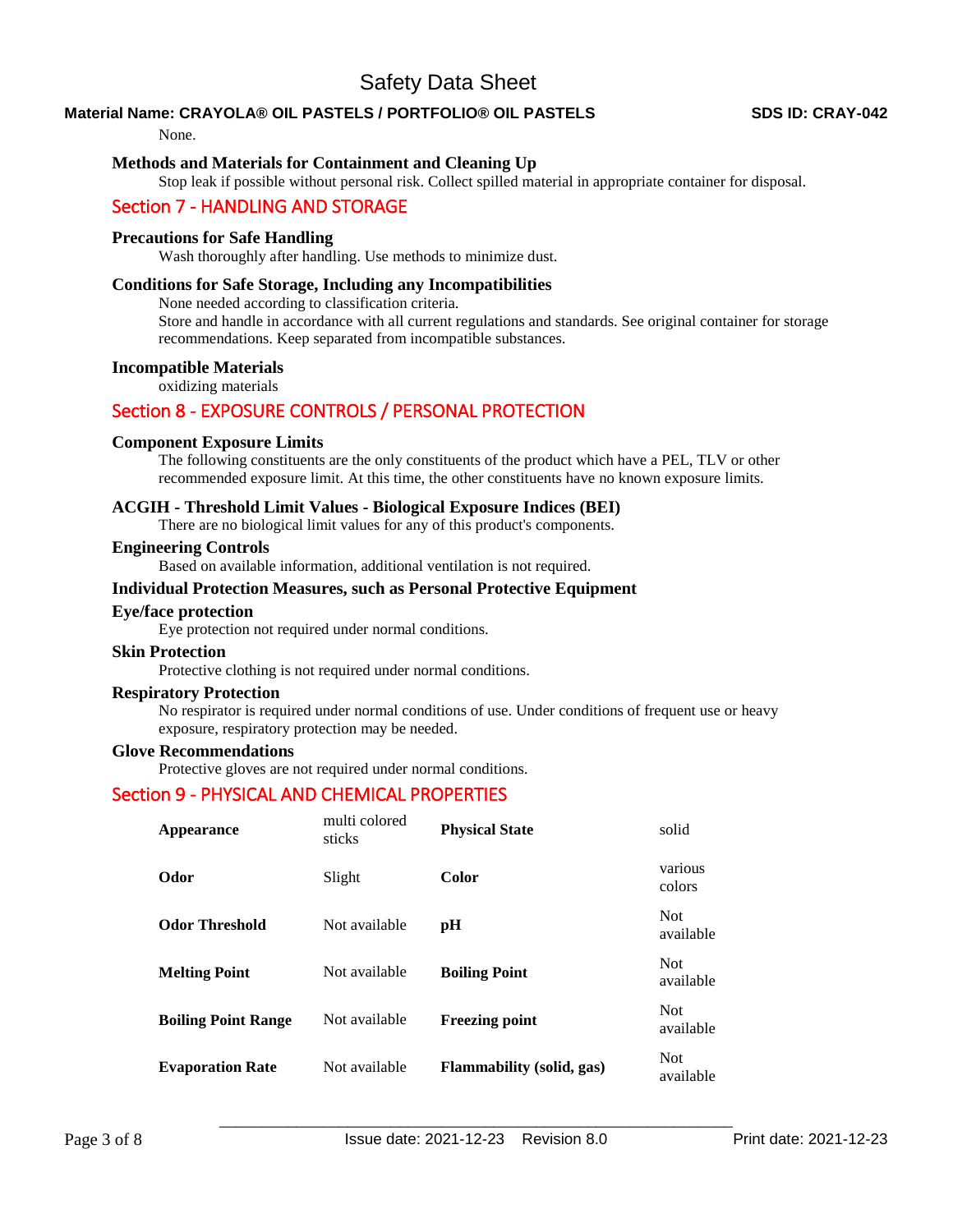## **Material Name: CRAYOLA® OIL PASTELS / PORTFOLIO® OIL PASTELS SDS ID: CRAY-042**

#### None.

#### **Methods and Materials for Containment and Cleaning Up**

Stop leak if possible without personal risk. Collect spilled material in appropriate container for disposal.

## Section 7 - HANDLING AND STORAGE

#### **Precautions for Safe Handling**

Wash thoroughly after handling. Use methods to minimize dust.

#### **Conditions for Safe Storage, Including any Incompatibilities**

None needed according to classification criteria.

Store and handle in accordance with all current regulations and standards. See original container for storage recommendations. Keep separated from incompatible substances.

#### **Incompatible Materials**

oxidizing materials

# Section 8 - EXPOSURE CONTROLS / PERSONAL PROTECTION

#### **Component Exposure Limits**

The following constituents are the only constituents of the product which have a PEL, TLV or other recommended exposure limit. At this time, the other constituents have no known exposure limits.

#### **ACGIH - Threshold Limit Values - Biological Exposure Indices (BEI)**

There are no biological limit values for any of this product's components.

#### **Engineering Controls**

Based on available information, additional ventilation is not required.

#### **Individual Protection Measures, such as Personal Protective Equipment**

#### **Eye/face protection**

Eye protection not required under normal conditions.

#### **Skin Protection**

Protective clothing is not required under normal conditions.

### **Respiratory Protection**

No respirator is required under normal conditions of use. Under conditions of frequent use or heavy exposure, respiratory protection may be needed.

#### **Glove Recommendations**

Protective gloves are not required under normal conditions.

## Section 9 - PHYSICAL AND CHEMICAL PROPERTIES

| Appearance                 | multi colored<br>sticks | <b>Physical State</b>            | solid                   |
|----------------------------|-------------------------|----------------------------------|-------------------------|
| Odor                       | Slight                  | <b>Color</b>                     | various<br>colors       |
| <b>Odor Threshold</b>      | Not available           | рH                               | <b>Not</b><br>available |
| <b>Melting Point</b>       | Not available           | <b>Boiling Point</b>             | <b>Not</b><br>available |
| <b>Boiling Point Range</b> | Not available           | <b>Freezing point</b>            | <b>Not</b><br>available |
| <b>Evaporation Rate</b>    | Not available           | <b>Flammability</b> (solid, gas) | <b>Not</b><br>available |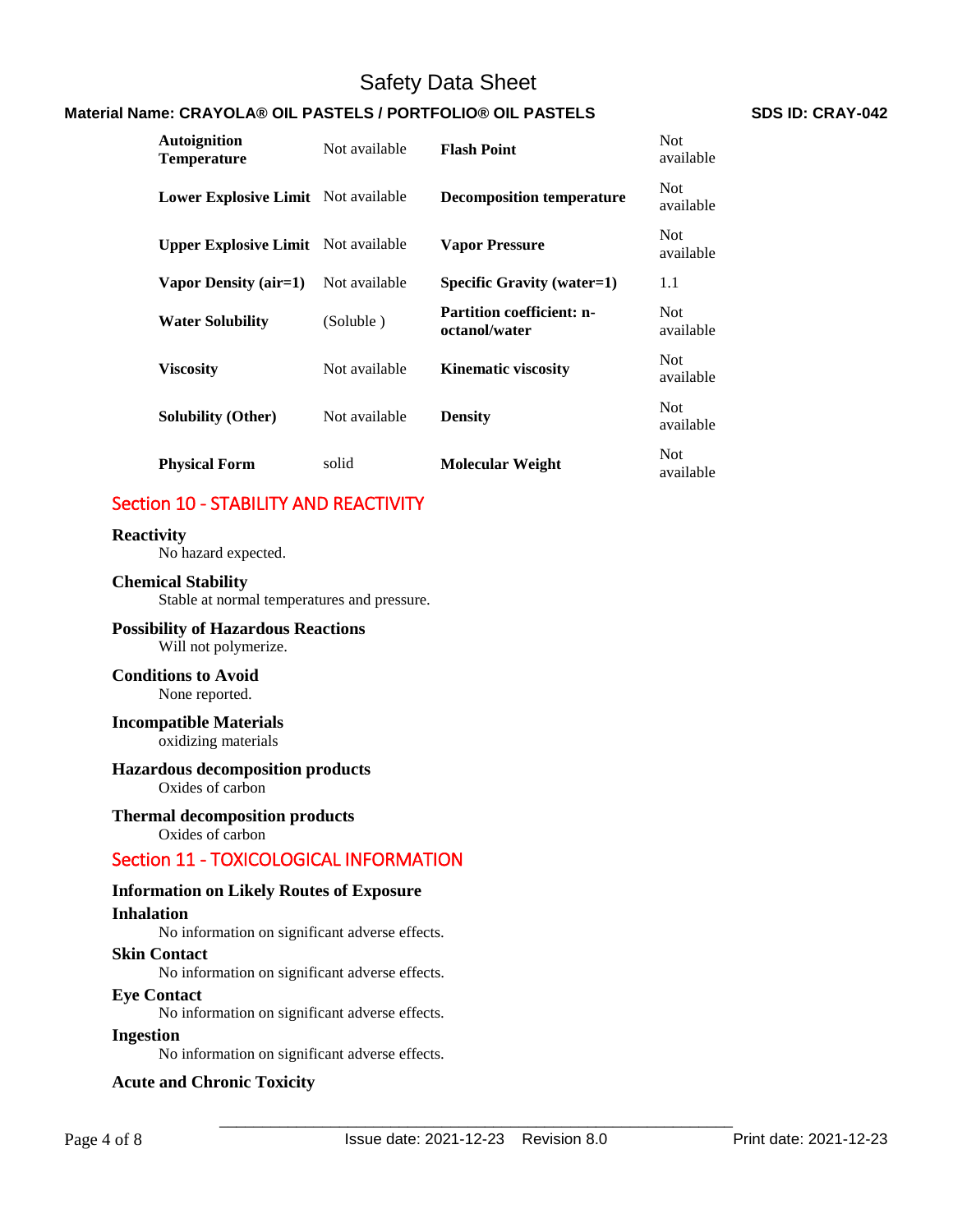# **Material Name: CRAYOLA® OIL PASTELS / PORTFOLIO® OIL PASTELS <br>SDS ID: CRAY-042**

| <b>Autoignition</b><br><b>Temperature</b>  | Not available | <b>Flash Point</b>                                | <b>Not</b><br>available |
|--------------------------------------------|---------------|---------------------------------------------------|-------------------------|
| Lower Explosive Limit Not available        |               | <b>Decomposition temperature</b>                  | <b>Not</b><br>available |
| <b>Upper Explosive Limit</b> Not available |               | <b>Vapor Pressure</b>                             | <b>Not</b><br>available |
| Vapor Density (air=1)                      | Not available | <b>Specific Gravity (water=1)</b>                 | 1.1                     |
| <b>Water Solubility</b>                    | (Soluble)     | <b>Partition coefficient: n-</b><br>octanol/water | <b>Not</b><br>available |
| <b>Viscosity</b>                           | Not available | <b>Kinematic viscosity</b>                        | <b>Not</b><br>available |
| <b>Solubility (Other)</b>                  | Not available | <b>Density</b>                                    | <b>Not</b><br>available |
| <b>Physical Form</b>                       | solid         | <b>Molecular Weight</b>                           | <b>Not</b><br>available |

# Section 10 - STABILITY AND REACTIVITY

#### **Reactivity**

No hazard expected.

## **Chemical Stability**

Stable at normal temperatures and pressure.

#### **Possibility of Hazardous Reactions** Will not polymerize.

#### **Conditions to Avoid** None reported.

#### **Incompatible Materials** oxidizing materials

# **Hazardous decomposition products**

Oxides of carbon

#### **Thermal decomposition products**

Oxides of carbon

# Section 11 - TOXICOLOGICAL INFORMATION

#### **Information on Likely Routes of Exposure**

#### **Inhalation**

No information on significant adverse effects.

#### **Skin Contact**

No information on significant adverse effects.

#### **Eye Contact**

No information on significant adverse effects.

### **Ingestion**

No information on significant adverse effects.

#### **Acute and Chronic Toxicity**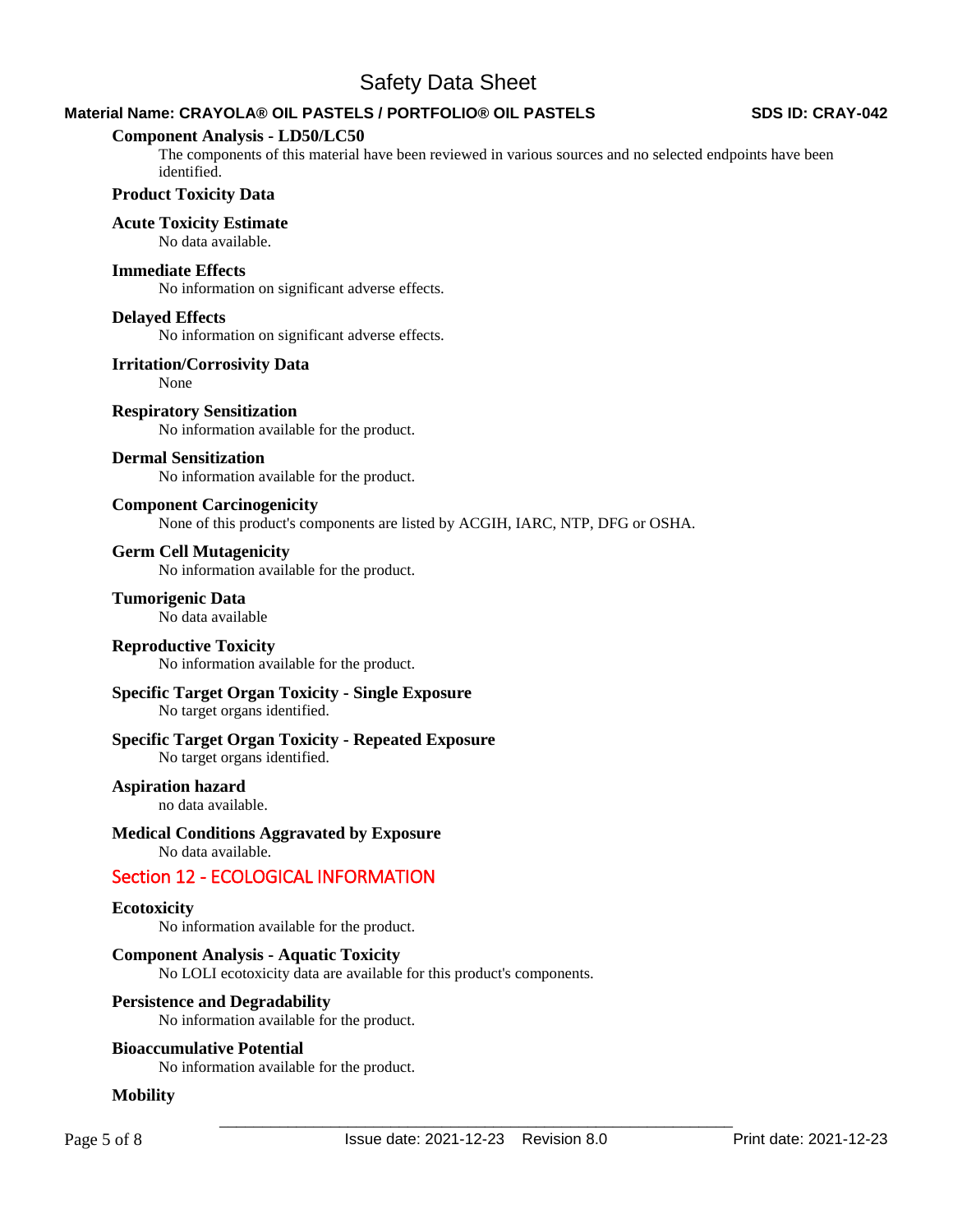# **Material Name: CRAYOLA® OIL PASTELS / PORTFOLIO® OIL PASTELS SDS ID: CRAY-042**

#### **Component Analysis - LD50/LC50**

The components of this material have been reviewed in various sources and no selected endpoints have been identified.

#### **Product Toxicity Data**

#### **Acute Toxicity Estimate**

No data available.

#### **Immediate Effects**

No information on significant adverse effects.

#### **Delayed Effects**

No information on significant adverse effects.

#### **Irritation/Corrosivity Data**

None

#### **Respiratory Sensitization**

No information available for the product.

#### **Dermal Sensitization**

No information available for the product.

#### **Component Carcinogenicity**

None of this product's components are listed by ACGIH, IARC, NTP, DFG or OSHA.

#### **Germ Cell Mutagenicity**

No information available for the product.

# **Tumorigenic Data**

No data available

#### **Reproductive Toxicity**

No information available for the product.

### **Specific Target Organ Toxicity - Single Exposure**

No target organs identified.

## **Specific Target Organ Toxicity - Repeated Exposure**

No target organs identified.

### **Aspiration hazard**

no data available.

#### **Medical Conditions Aggravated by Exposure**

No data available.

## Section 12 - ECOLOGICAL INFORMATION

#### **Ecotoxicity**

No information available for the product.

#### **Component Analysis - Aquatic Toxicity**

No LOLI ecotoxicity data are available for this product's components.

#### **Persistence and Degradability**

No information available for the product.

#### **Bioaccumulative Potential**

No information available for the product.

#### **Mobility**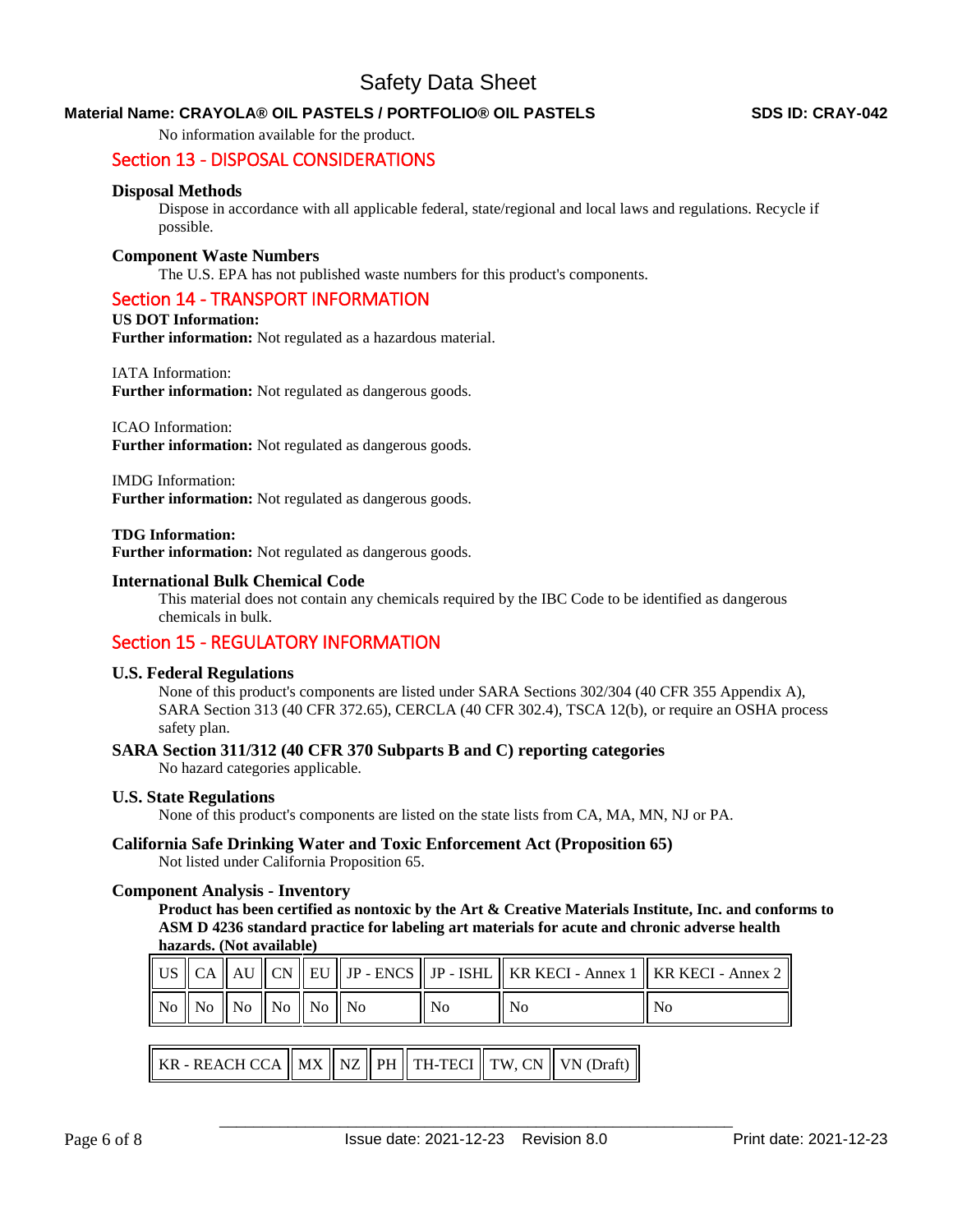### **Material Name: CRAYOLA® OIL PASTELS / PORTFOLIO® OIL PASTELS SDS ID: CRAY-042**

No information available for the product.

# Section 13 - DISPOSAL CONSIDERATIONS

#### **Disposal Methods**

Dispose in accordance with all applicable federal, state/regional and local laws and regulations. Recycle if possible.

#### **Component Waste Numbers**

The U.S. EPA has not published waste numbers for this product's components.

#### Section 14 - TRANSPORT INFORMATION

#### **US DOT Information:**

**Further information:** Not regulated as a hazardous material.

#### IATA Information:

**Further information:** Not regulated as dangerous goods.

#### ICAO Information:

**Further information:** Not regulated as dangerous goods.

#### IMDG Information:

**Further information:** Not regulated as dangerous goods.

#### **TDG Information:**

**Further information:** Not regulated as dangerous goods.

#### **International Bulk Chemical Code**

This material does not contain any chemicals required by the IBC Code to be identified as dangerous chemicals in bulk.

## Section 15 - REGULATORY INFORMATION

#### **U.S. Federal Regulations**

None of this product's components are listed under SARA Sections 302/304 (40 CFR 355 Appendix A), SARA Section 313 (40 CFR 372.65), CERCLA (40 CFR 302.4), TSCA 12(b), or require an OSHA process safety plan.

#### **SARA Section 311/312 (40 CFR 370 Subparts B and C) reporting categories**

No hazard categories applicable.

#### **U.S. State Regulations**

None of this product's components are listed on the state lists from CA, MA, MN, NJ or PA.

# **California Safe Drinking Water and Toxic Enforcement Act (Proposition 65)**

Not listed under California Proposition 65.

#### **Component Analysis - Inventory**

**Product has been certified as nontoxic by the Art & Creative Materials Institute, Inc. and conforms to ASM D 4236 standard practice for labeling art materials for acute and chronic adverse health hazards. (Not available)**

|  |                                                                                           |  |    | $\parallel$ US $\parallel$ CA $\parallel$ AU $\parallel$ CN $\parallel$ EU $\parallel$ JP - ENCS $\parallel$ JP - ISHL $\parallel$ KR KECI - Annex 1 $\parallel$ KR KECI - Annex 2 $\parallel$ |      |
|--|-------------------------------------------------------------------------------------------|--|----|------------------------------------------------------------------------------------------------------------------------------------------------------------------------------------------------|------|
|  | $\parallel$ No $\parallel$ No $\parallel$ No $\parallel$ No $\parallel$ No $\parallel$ No |  | No | - No                                                                                                                                                                                           | . No |

| KR - REACH CCA $\ $ MX $\ $ NZ $\ $ PH $\ $ TH-TECI $\ $ TW, CN $\ $ VN (Draft) $\ $ |  |  |  |  |  |  |
|--------------------------------------------------------------------------------------|--|--|--|--|--|--|
|--------------------------------------------------------------------------------------|--|--|--|--|--|--|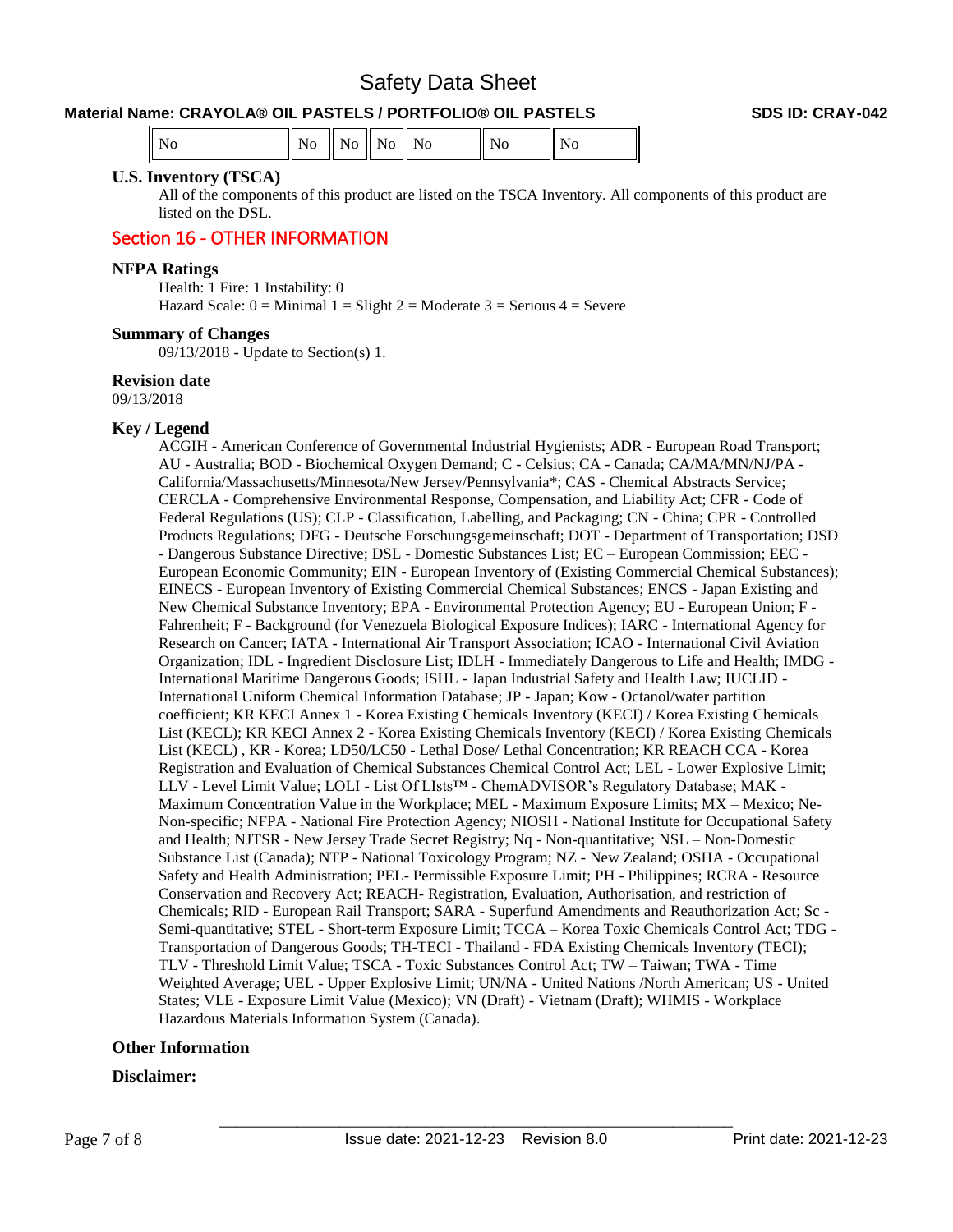# **Material Name: CRAYOLA® OIL PASTELS / PORTFOLIO® OIL PASTELS SDS ID: CRAY-042**

| $\parallel$ No |  |  |  |  |  |
|----------------|--|--|--|--|--|
|----------------|--|--|--|--|--|

#### **U.S. Inventory (TSCA)**

All of the components of this product are listed on the TSCA Inventory. All components of this product are listed on the DSL.

# Section 16 - OTHER INFORMATION

#### **NFPA Ratings**

Health: 1 Fire: 1 Instability: 0 Hazard Scale:  $0 =$  Minimal  $1 =$  Slight  $2 =$  Moderate  $3 =$  Serious  $4 =$  Severe

#### **Summary of Changes**

09/13/2018 - Update to Section(s) 1.

#### **Revision date**

09/13/2018

#### **Key / Legend**

ACGIH - American Conference of Governmental Industrial Hygienists; ADR - European Road Transport; AU - Australia; BOD - Biochemical Oxygen Demand; C - Celsius; CA - Canada; CA/MA/MN/NJ/PA - California/Massachusetts/Minnesota/New Jersey/Pennsylvania\*; CAS - Chemical Abstracts Service; CERCLA - Comprehensive Environmental Response, Compensation, and Liability Act; CFR - Code of Federal Regulations (US); CLP - Classification, Labelling, and Packaging; CN - China; CPR - Controlled Products Regulations; DFG - Deutsche Forschungsgemeinschaft; DOT - Department of Transportation; DSD - Dangerous Substance Directive; DSL - Domestic Substances List; EC – European Commission; EEC - European Economic Community; EIN - European Inventory of (Existing Commercial Chemical Substances); EINECS - European Inventory of Existing Commercial Chemical Substances; ENCS - Japan Existing and New Chemical Substance Inventory; EPA - Environmental Protection Agency; EU - European Union; F - Fahrenheit; F - Background (for Venezuela Biological Exposure Indices); IARC - International Agency for Research on Cancer; IATA - International Air Transport Association; ICAO - International Civil Aviation Organization; IDL - Ingredient Disclosure List; IDLH - Immediately Dangerous to Life and Health; IMDG - International Maritime Dangerous Goods; ISHL - Japan Industrial Safety and Health Law; IUCLID - International Uniform Chemical Information Database; JP - Japan; Kow - Octanol/water partition coefficient; KR KECI Annex 1 - Korea Existing Chemicals Inventory (KECI) / Korea Existing Chemicals List (KECL); KR KECI Annex 2 - Korea Existing Chemicals Inventory (KECI) / Korea Existing Chemicals List (KECL) , KR - Korea; LD50/LC50 - Lethal Dose/ Lethal Concentration; KR REACH CCA - Korea Registration and Evaluation of Chemical Substances Chemical Control Act; LEL - Lower Explosive Limit; LLV - Level Limit Value; LOLI - List Of LIsts™ - ChemADVISOR's Regulatory Database; MAK - Maximum Concentration Value in the Workplace; MEL - Maximum Exposure Limits; MX – Mexico; Ne-Non-specific; NFPA - National Fire Protection Agency; NIOSH - National Institute for Occupational Safety and Health; NJTSR - New Jersey Trade Secret Registry; Nq - Non-quantitative; NSL – Non-Domestic Substance List (Canada); NTP - National Toxicology Program; NZ - New Zealand; OSHA - Occupational Safety and Health Administration; PEL- Permissible Exposure Limit; PH - Philippines; RCRA - Resource Conservation and Recovery Act; REACH- Registration, Evaluation, Authorisation, and restriction of Chemicals; RID - European Rail Transport; SARA - Superfund Amendments and Reauthorization Act; Sc - Semi-quantitative; STEL - Short-term Exposure Limit; TCCA – Korea Toxic Chemicals Control Act; TDG - Transportation of Dangerous Goods; TH-TECI - Thailand - FDA Existing Chemicals Inventory (TECI); TLV - Threshold Limit Value; TSCA - Toxic Substances Control Act; TW – Taiwan; TWA - Time Weighted Average; UEL - Upper Explosive Limit; UN/NA - United Nations /North American; US - United States; VLE - Exposure Limit Value (Mexico); VN (Draft) - Vietnam (Draft); WHMIS - Workplace Hazardous Materials Information System (Canada).

#### **Other Information**

#### **Disclaimer:**